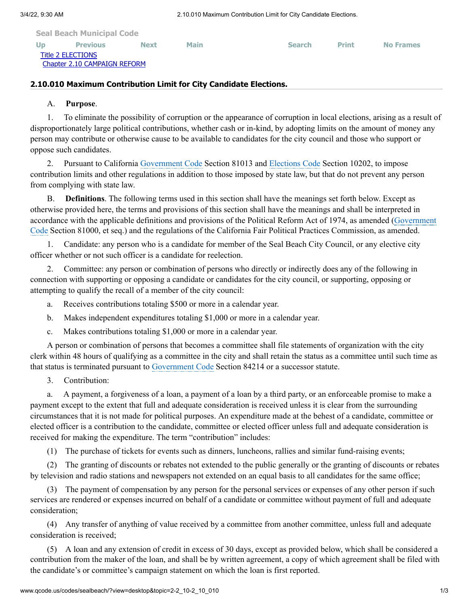| <b>Seal Beach Municipal Code</b> |                              |             |             |               |              |                  |
|----------------------------------|------------------------------|-------------|-------------|---------------|--------------|------------------|
| <b>Up</b>                        | <b>Previous</b>              | <b>Next</b> | <b>Main</b> | <b>Search</b> | <b>Print</b> | <b>No Frames</b> |
| Title 2 ELECTIONS                | Chapter 2.10 CAMPAIGN REFORM |             |             |               |              |                  |

## **2.10.010 Maximum Contribution Limit for City Candidate Elections.**

## A. **Purpose**.

1. To eliminate the possibility of corruption or the appearance of corruption in local elections, arising as a result of disproportionately large political contributions, whether cash or in-kind, by adopting limits on the amount of money any person may contribute or otherwise cause to be available to candidates for the city council and those who support or oppose such candidates.

2. Pursuant to California [Government](http://www.qcode.us/codes/othercode.php?state=ca&code=gov) Code Section 81013 and [Elections](http://www.qcode.us/codes/othercode.php?state=ca&code=ele) Code Section 10202, to impose contribution limits and other regulations in addition to those imposed by state law, but that do not prevent any person from complying with state law.

B. **Definitions**. The following terms used in this section shall have the meanings set forth below. Except as otherwise provided here, the terms and provisions of this section shall have the meanings and shall be interpreted in accordance with the applicable definitions and provisions of the Political Reform Act of 1974, as amended [\(Government](http://www.qcode.us/codes/othercode.php?state=ca&code=gov) Code Section 81000, et seq.) and the regulations of the California Fair Political Practices Commission, as amended.

1. Candidate: any person who is a candidate for member of the Seal Beach City Council, or any elective city officer whether or not such officer is a candidate for reelection.

2. Committee: any person or combination of persons who directly or indirectly does any of the following in connection with supporting or opposing a candidate or candidates for the city council, or supporting, opposing or attempting to qualify the recall of a member of the city council:

- a. Receives contributions totaling \$500 or more in a calendar year.
- b. Makes independent expenditures totaling \$1,000 or more in a calendar year.
- c. Makes contributions totaling \$1,000 or more in a calendar year.

A person or combination of persons that becomes a committee shall file statements of organization with the city clerk within 48 hours of qualifying as a committee in the city and shall retain the status as a committee until such time as that status is terminated pursuant to [Government](http://www.qcode.us/codes/othercode.php?state=ca&code=gov) Code Section 84214 or a successor statute.

3. Contribution:

a. A payment, a forgiveness of a loan, a payment of a loan by a third party, or an enforceable promise to make a payment except to the extent that full and adequate consideration is received unless it is clear from the surrounding circumstances that it is not made for political purposes. An expenditure made at the behest of a candidate, committee or elected officer is a contribution to the candidate, committee or elected officer unless full and adequate consideration is received for making the expenditure. The term "contribution" includes:

(1) The purchase of tickets for events such as dinners, luncheons, rallies and similar fund-raising events;

(2) The granting of discounts or rebates not extended to the public generally or the granting of discounts or rebates by television and radio stations and newspapers not extended on an equal basis to all candidates for the same office;

(3) The payment of compensation by any person for the personal services or expenses of any other person if such services are rendered or expenses incurred on behalf of a candidate or committee without payment of full and adequate consideration;

(4) Any transfer of anything of value received by a committee from another committee, unless full and adequate consideration is received;

(5) A loan and any extension of credit in excess of 30 days, except as provided below, which shall be considered a contribution from the maker of the loan, and shall be by written agreement, a copy of which agreement shall be filed with the candidate's or committee's campaign statement on which the loan is first reported.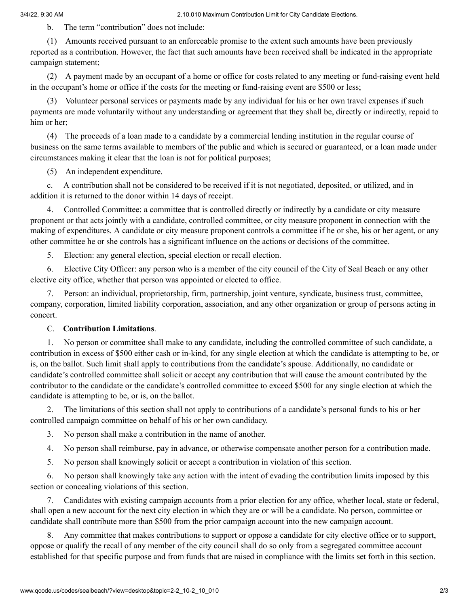3/4/22, 9:30 AM 2.10.010 Maximum Contribution Limit for City Candidate Elections.

b. The term "contribution" does not include:

(1) Amounts received pursuant to an enforceable promise to the extent such amounts have been previously reported as a contribution. However, the fact that such amounts have been received shall be indicated in the appropriate campaign statement;

(2) A payment made by an occupant of a home or office for costs related to any meeting or fund-raising event held in the occupant's home or office if the costs for the meeting or fund-raising event are \$500 or less;

(3) Volunteer personal services or payments made by any individual for his or her own travel expenses if such payments are made voluntarily without any understanding or agreement that they shall be, directly or indirectly, repaid to him or her;

(4) The proceeds of a loan made to a candidate by a commercial lending institution in the regular course of business on the same terms available to members of the public and which is secured or guaranteed, or a loan made under circumstances making it clear that the loan is not for political purposes;

(5) An independent expenditure.

c. A contribution shall not be considered to be received if it is not negotiated, deposited, or utilized, and in addition it is returned to the donor within 14 days of receipt.

4. Controlled Committee: a committee that is controlled directly or indirectly by a candidate or city measure proponent or that acts jointly with a candidate, controlled committee, or city measure proponent in connection with the making of expenditures. A candidate or city measure proponent controls a committee if he or she, his or her agent, or any other committee he or she controls has a significant influence on the actions or decisions of the committee.

5. Election: any general election, special election or recall election.

6. Elective City Officer: any person who is a member of the city council of the City of Seal Beach or any other elective city office, whether that person was appointed or elected to office.

7. Person: an individual, proprietorship, firm, partnership, joint venture, syndicate, business trust, committee, company, corporation, limited liability corporation, association, and any other organization or group of persons acting in concert.

## C. **Contribution Limitations**.

1. No person or committee shall make to any candidate, including the controlled committee of such candidate, a contribution in excess of \$500 either cash or in-kind, for any single election at which the candidate is attempting to be, or is, on the ballot. Such limit shall apply to contributions from the candidate's spouse. Additionally, no candidate or candidate's controlled committee shall solicit or accept any contribution that will cause the amount contributed by the contributor to the candidate or the candidate's controlled committee to exceed \$500 for any single election at which the candidate is attempting to be, or is, on the ballot.

2. The limitations of this section shall not apply to contributions of a candidate's personal funds to his or her controlled campaign committee on behalf of his or her own candidacy.

3. No person shall make a contribution in the name of another.

4. No person shall reimburse, pay in advance, or otherwise compensate another person for a contribution made.

5. No person shall knowingly solicit or accept a contribution in violation of this section.

6. No person shall knowingly take any action with the intent of evading the contribution limits imposed by this section or concealing violations of this section.

7. Candidates with existing campaign accounts from a prior election for any office, whether local, state or federal, shall open a new account for the next city election in which they are or will be a candidate. No person, committee or candidate shall contribute more than \$500 from the prior campaign account into the new campaign account.

8. Any committee that makes contributions to support or oppose a candidate for city elective office or to support, oppose or qualify the recall of any member of the city council shall do so only from a segregated committee account established for that specific purpose and from funds that are raised in compliance with the limits set forth in this section.